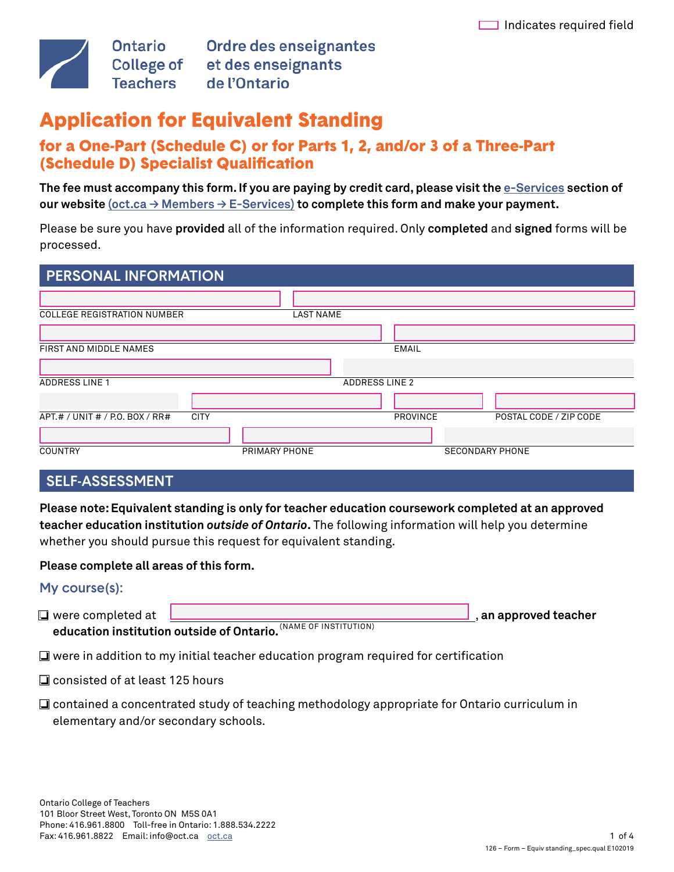

Ontario Ordre des enseignantes<br>College of et des enseignants de l'Ontario

# Application for Equivalent Standing

# for a One-Part (Schedule C) or for Parts 1, 2, and/or 3 of a Three-Part (Schedule D) Specialist Qualifcation

**The fee must accompany this form. If you are paying by credit card, please visit the [e-Services](https://www.oct.ca/eservices/home?sc_lang=en&) section of our website [\(oct.ca → Members → E-Services\)](https://www.oct.ca/eservices/home?sc_lang=en&) to complete this form and make your payment.** 

Please be sure you have **provided** all of the information required. Only **completed** and **signed** forms will be processed.

| <b>PERSONAL INFORMATION</b>                    |                  |                       |                        |
|------------------------------------------------|------------------|-----------------------|------------------------|
|                                                |                  |                       |                        |
| <b>COLLEGE REGISTRATION NUMBER</b>             | <b>LAST NAME</b> |                       |                        |
|                                                |                  |                       |                        |
| FIRST AND MIDDLE NAMES                         |                  | <b>EMAIL</b>          |                        |
|                                                |                  |                       |                        |
| <b>ADDRESS LINE 1</b>                          |                  | <b>ADDRESS LINE 2</b> |                        |
|                                                |                  |                       |                        |
| APT.# / UNIT # / P.O. BOX / RR#<br><b>CITY</b> |                  | <b>PROVINCE</b>       | POSTAL CODE / ZIP CODE |
|                                                |                  |                       |                        |
| <b>COUNTRY</b>                                 | PRIMARY PHONE    |                       | <b>SECONDARY PHONE</b> |

# SELF-ASSESSMENT

**Please note: Equivalent standing is only for teacher education coursework completed at an approved teacher education institution** *outside of Ontario***.** The following information will help you determine whether you should pursue this request for equivalent standing.

#### **Please complete all areas of this form.**

#### My course(s):



**education institution outside of Ontario.** <sup>(NAME OF INSTITUTION)</sup>

❏ were in addition to my initial teacher education program required for certifcation

- ❏ consisted of at least 125 hours
- ❏ contained a concentrated study of teaching methodology appropriate for Ontario curriculum in elementary and/or secondary schools.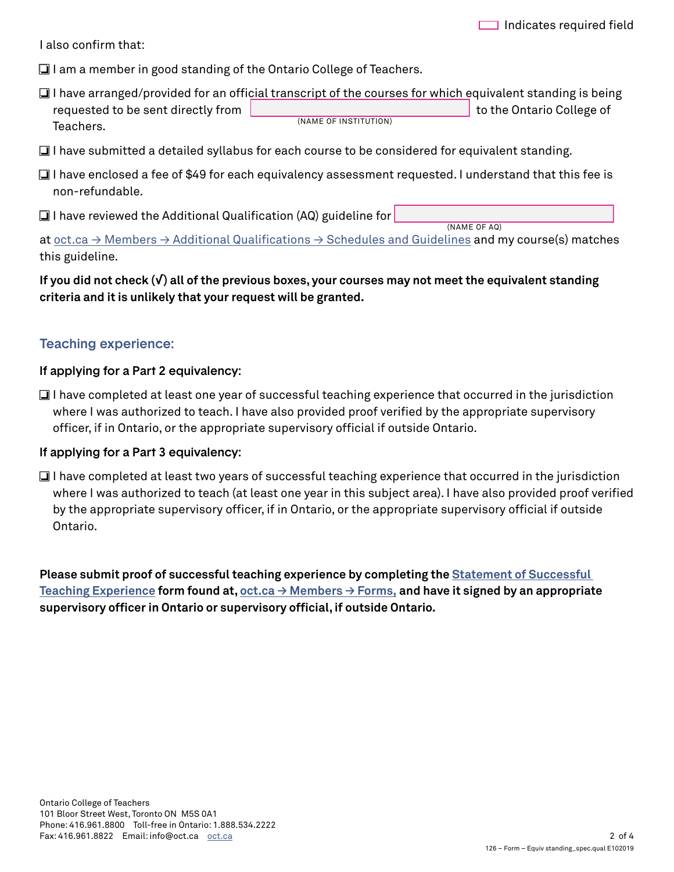I also confrm that:

❏ I am a member in good standing of the Ontario College of Teachers.

- l ❏ I have arranged/provided for an offcial transcript of the courses for which equivalent standing is being requested to be sent directly from , (NAME OF INSTITUTION) to the Ontario College of Teachers.
- ❏ I have submitted a detailed syllabus for each course to be considered for equivalent standing.
- ❏ I have enclosed a fee of \$49 for each equivalency assessment requested. I understand that this fee is non-refundable.
- ❏ . I have reviewed the Additional Qualifcation (AQ) guideline for

(NAME OF AQ)

at oct.ca  $\rightarrow$  Members  $\rightarrow$  Additional Qualifications  $\rightarrow$  Schedules and Guidelines and my course(s) matches this guideline.

l

### **If you did not check (√) all of the previous boxes, your courses may not meet the equivalent standing criteria and it is unlikely that your request will be granted.**

## Teaching experience:

#### If applying for a Part 2 equivalency:

❏ I have completed at least one year of successful teaching experience that occurred in the jurisdiction where I was authorized to teach. I have also provided proof verifed by the appropriate supervisory officer, if in Ontario, or the appropriate supervisory official if outside Ontario.

#### If applying for a Part 3 equivalency:

❏ I have completed at least two years of successful teaching experience that occurred in the jurisdiction where I was authorized to teach (at least one year in this subject area). I have also provided proof verifed by the appropriate supervisory officer, if in Ontario, or the appropriate supervisory official if outside Ontario.

**Please submit proof of successful teaching experience by completing the <b>Statement of Successful [Teaching Experience](https://www.oct.ca/-/media/Forms/Statement%20of%20Successful%20Teaching%20Experience/sste_e.pdf) form found at, [oct.ca → Members → Forms](http://www.oct.ca/members/forms?sc_lang=en&), and have it signed by an appropriate**  supervisory officer in Ontario or supervisory official, if outside Ontario.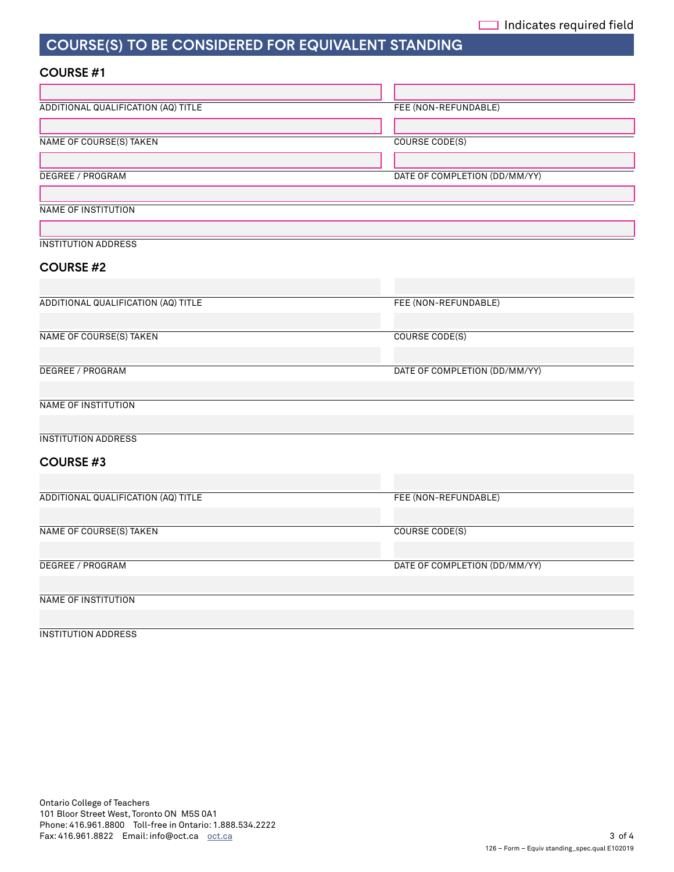# COURSE(S) TO BE CONSIDERED FOR EQUIVALENT STANDING

#### COURSE #1

| ADDITIONAL QUALIFICATION (AQ) TITLE | FEE (NON-REFUNDABLE)          |  |
|-------------------------------------|-------------------------------|--|
|                                     |                               |  |
| <b>NAME OF COURSE(S) TAKEN</b>      | <b>COURSE CODE(S)</b>         |  |
|                                     |                               |  |
| DEGREE / PROGRAM                    | DATE OF COMPLETION (DD/MM/YY) |  |
|                                     |                               |  |
| <b>NAME OF INSTITUTION</b>          |                               |  |
|                                     |                               |  |
| <b>INSTITUTION ADDRESS</b>          |                               |  |
| <b>COURSE #2</b>                    |                               |  |
|                                     |                               |  |
| ADDITIONAL QUALIFICATION (AQ) TITLE | FEE (NON-REFUNDABLE)          |  |
|                                     |                               |  |
| <b>NAME OF COURSE(S) TAKEN</b>      | <b>COURSE CODE(S)</b>         |  |
|                                     |                               |  |
| DEGREE / PROGRAM                    | DATE OF COMPLETION (DD/MM/YY) |  |
|                                     |                               |  |
| <b>NAME OF INSTITUTION</b>          |                               |  |
|                                     |                               |  |
| <b>INSTITUTION ADDRESS</b>          |                               |  |
|                                     |                               |  |
| <b>COURSE #3</b>                    |                               |  |
|                                     |                               |  |
| ADDITIONAL QUALIFICATION (AQ) TITLE | FEE (NON-REFUNDABLE)          |  |
|                                     |                               |  |
| <b>NAME OF COURSE(S) TAKEN</b>      | <b>COURSE CODE(S)</b>         |  |
|                                     |                               |  |
| <b>DEGREE / PROGRAM</b>             | DATE OF COMPLETION (DD/MM/YY) |  |
|                                     |                               |  |
| NAME OF INSTITUTION                 |                               |  |
|                                     |                               |  |

#### INSTITUTION ADDRESS